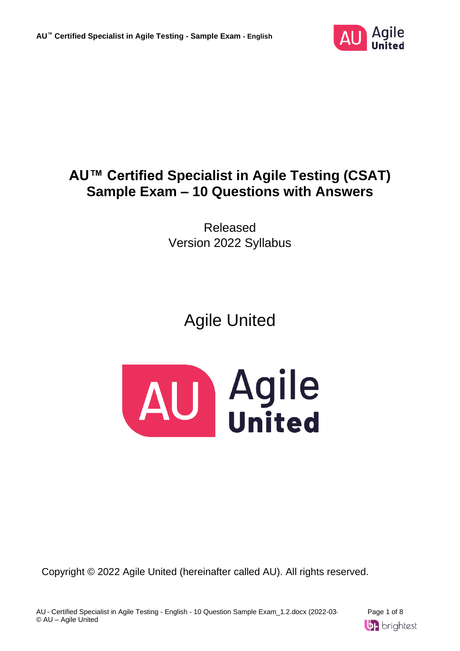

# **AU™ Certified Specialist in Agile Testing (CSAT) Sample Exam – 10 Questions with Answers**

Released Version 2022 Syllabus

Agile United



Copyright © 2022 Agile United (hereinafter called AU). All rights reserved.

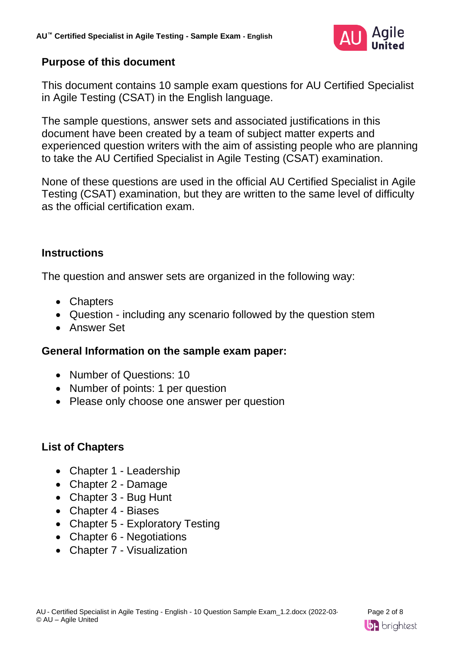

## **Purpose of this document**

This document contains 10 sample exam questions for AU Certified Specialist in Agile Testing (CSAT) in the English language.

The sample questions, answer sets and associated justifications in this document have been created by a team of subject matter experts and experienced question writers with the aim of assisting people who are planning to take the AU Certified Specialist in Agile Testing (CSAT) examination.

None of these questions are used in the official AU Certified Specialist in Agile Testing (CSAT) examination, but they are written to the same level of difficulty as the official certification exam.

## **Instructions**

The question and answer sets are organized in the following way:

- Chapters
- Question including any scenario followed by the question stem
- Answer Set

## **General Information on the sample exam paper:**

- Number of Questions: 10
- Number of points: 1 per question
- Please only choose one answer per question

## **List of Chapters**

- Chapter 1 Leadership
- Chapter 2 Damage
- Chapter 3 Bug Hunt
- Chapter 4 Biases
- Chapter 5 Exploratory Testing
- Chapter 6 Negotiations
- Chapter 7 Visualization

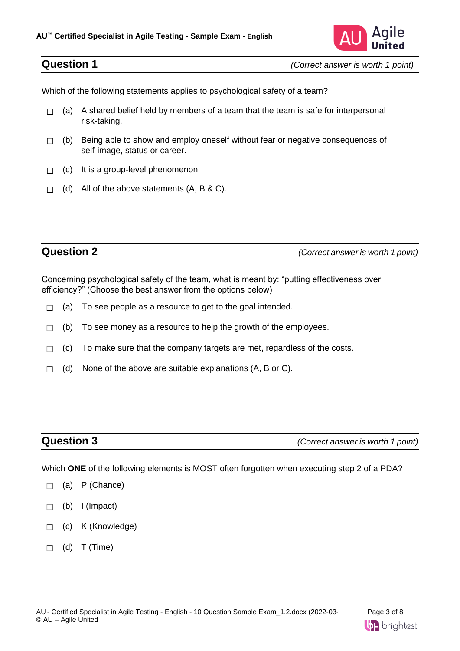

Which of the following statements applies to psychological safety of a team?

- $\Box$  (a) A shared belief held by members of a team that the team is safe for interpersonal risk-taking.
- $\Box$  (b) Being able to show and employ oneself without fear or negative consequences of self-image, status or career.
- $\Box$  (c) It is a group-level phenomenon.
- $\Box$  (d) All of the above statements (A, B & C).

**Question 2** *(Correct answer is worth 1 point)*

Concerning psychological safety of the team, what is meant by: "putting effectiveness over efficiency?" (Choose the best answer from the options below)

- $\Box$  (a) To see people as a resource to get to the goal intended.
- $\Box$  (b) To see money as a resource to help the growth of the employees.
- $\Box$  (c) To make sure that the company targets are met, regardless of the costs.
- $\Box$  (d) None of the above are suitable explanations (A, B or C).

**Question 3** *(Correct answer is worth 1 point)*

Which **ONE** of the following elements is MOST often forgotten when executing step 2 of a PDA?

- $\sqcap$  (a) P (Chance)
- $\Box$  (b) I (Impact)
- ☐ (c) K (Knowledge)
- $\Box$  (d) T (Time)

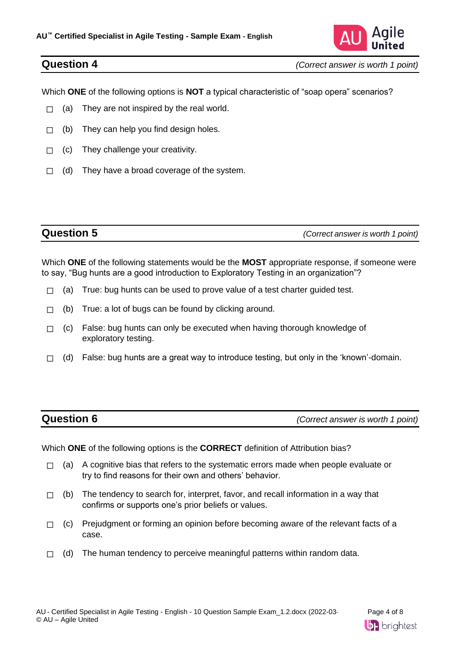

Which **ONE** of the following options is **NOT** a typical characteristic of "soap opera" scenarios?

- $\Box$  (a) They are not inspired by the real world.
- $\Box$  (b) They can help you find design holes.
- $\Box$  (c) They challenge your creativity.
- $\Box$  (d) They have a broad coverage of the system.

**Question 5** *(Correct answer is worth 1 point)*

Which **ONE** of the following statements would be the **MOST** appropriate response, if someone were to say, "Bug hunts are a good introduction to Exploratory Testing in an organization"?

- $\Box$  (a) True: bug hunts can be used to prove value of a test charter guided test.
- $\Box$  (b) True: a lot of bugs can be found by clicking around.
- $\Box$  (c) False: bug hunts can only be executed when having thorough knowledge of exploratory testing.
- $\Box$  (d) False: bug hunts are a great way to introduce testing, but only in the 'known'-domain.

| <b>Question 6</b> | (Correct answer is worth 1 point) |
|-------------------|-----------------------------------|
|-------------------|-----------------------------------|

Which **ONE** of the following options is the **CORRECT** definition of Attribution bias?

- $\Box$  (a) A cognitive bias that refers to the systematic errors made when people evaluate or try to find reasons for their own and others' behavior.
- $\Box$  (b) The tendency to search for, interpret, favor, and recall information in a way that confirms or supports one's prior beliefs or values.
- $\Box$  (c) Prejudgment or forming an opinion before becoming aware of the relevant facts of a case.
- $\Box$  (d) The human tendency to perceive meaningful patterns within random data.

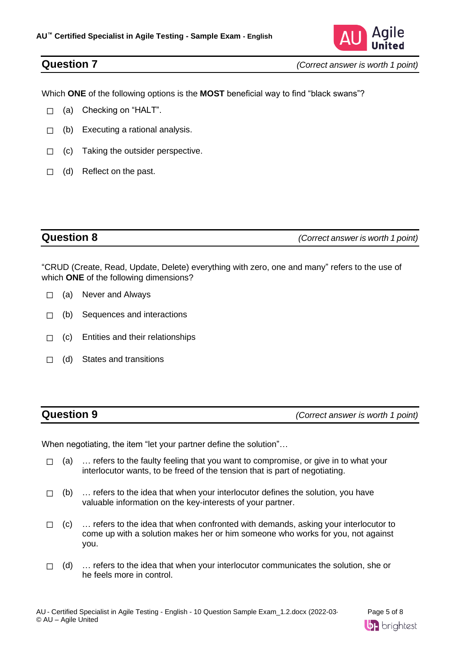

**Question 7** *(Correct answer is worth 1 point)*

Which **ONE** of the following options is the **MOST** beneficial way to find "black swans"?

- ☐ (a) Checking on "HALT".
- $\Box$  (b) Executing a rational analysis.
- □ (c) Taking the outsider perspective.
- $\Box$  (d) Reflect on the past.

**Question 8** *(Correct answer is worth 1 point)*

"CRUD (Create, Read, Update, Delete) everything with zero, one and many" refers to the use of which **ONE** of the following dimensions?

- $\Box$  (a) Never and Always
- ☐ (b) Sequences and interactions
- ☐ (c) Entities and their relationships
- ☐ (d) States and transitions

**Question 9** *(Correct answer is worth 1 point)*

When negotiating, the item "let your partner define the solution"…

- $\Box$  (a)  $\ldots$  refers to the faulty feeling that you want to compromise, or give in to what your interlocutor wants, to be freed of the tension that is part of negotiating.
- $\Box$  (b)  $\ldots$  refers to the idea that when your interlocutor defines the solution, you have valuable information on the key-interests of your partner.
- $\Box$  (c)  $\ldots$  refers to the idea that when confronted with demands, asking your interlocutor to come up with a solution makes her or him someone who works for you, not against you.
- $\Box$  (d)  $\ldots$  refers to the idea that when your interlocutor communicates the solution, she or he feels more in control.

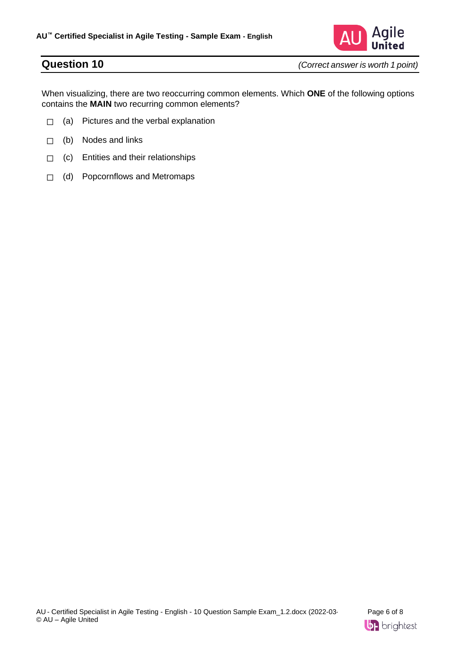

**Question 10** *(Correct answer is worth 1 point)*

When visualizing, there are two reoccurring common elements. Which **ONE** of the following options contains the **MAIN** two recurring common elements?

- □ (a) Pictures and the verbal explanation
- $\Box$  (b) Nodes and links
- $\Box$  (c) Entities and their relationships
- ☐ (d) Popcornflows and Metromaps

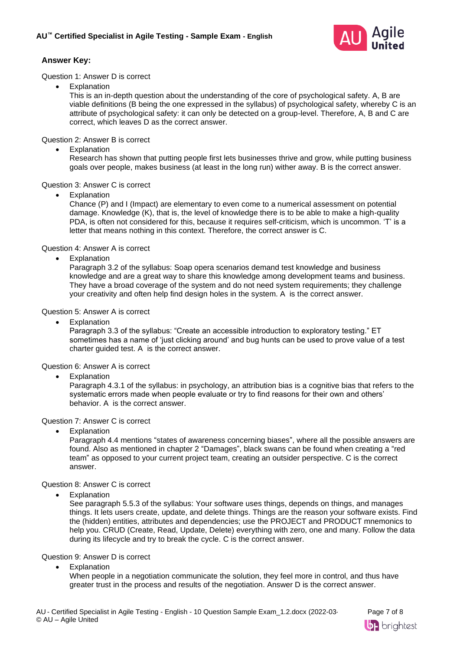

### **Answer Key:**

### Question 1: Answer D is correct

**Explanation** 

This is an in-depth question about the understanding of the core of psychological safety. A, B are viable definitions (B being the one expressed in the syllabus) of psychological safety, whereby C is an attribute of psychological safety: it can only be detected on a group-level. Therefore, A, B and C are correct, which leaves D as the correct answer.

Question 2: Answer B is correct

**Explanation** 

Research has shown that putting people first lets businesses thrive and grow, while putting business goals over people, makes business (at least in the long run) wither away. B is the correct answer.

### Question 3: Answer C is correct

**Explanation** 

Chance (P) and I (Impact) are elementary to even come to a numerical assessment on potential damage. Knowledge (K), that is, the level of knowledge there is to be able to make a high-quality PDA, is often not considered for this, because it requires self-criticism, which is uncommon. 'T' is a letter that means nothing in this context. Therefore, the correct answer is C.

Question 4: Answer A is correct

**Explanation** 

Paragraph 3.2 of the syllabus: Soap opera scenarios demand test knowledge and business knowledge and are a great way to share this knowledge among development teams and business. They have a broad coverage of the system and do not need system requirements; they challenge your creativity and often help find design holes in the system. A is the correct answer.

### Question 5: Answer A is correct

**Explanation** 

Paragraph 3.3 of the syllabus: "Create an accessible introduction to exploratory testing." ET sometimes has a name of 'just clicking around' and bug hunts can be used to prove value of a test charter guided test. A is the correct answer.

### Question 6: Answer A is correct

**Explanation** 

Paragraph 4.3.1 of the syllabus: in psychology, an attribution bias is a cognitive bias that refers to the systematic errors made when people evaluate or try to find reasons for their own and others' behavior. A is the correct answer.

### Question 7: Answer C is correct

**Explanation** 

Paragraph 4.4 mentions "states of awareness concerning biases", where all the possible answers are found. Also as mentioned in chapter 2 "Damages", black swans can be found when creating a "red team" as opposed to your current project team, creating an outsider perspective. C is the correct answer.

### Question 8: Answer C is correct

**Explanation** 

See paragraph 5.5.3 of the syllabus: Your software uses things, depends on things, and manages things. It lets users create, update, and delete things. Things are the reason your software exists. Find the (hidden) entities, attributes and dependencies; use the PROJECT and PRODUCT mnemonics to help you. CRUD (Create, Read, Update, Delete) everything with zero, one and many. Follow the data during its lifecycle and try to break the cycle. C is the correct answer.

### Question 9: Answer D is correct

**Explanation** 

When people in a negotiation communicate the solution, they feel more in control, and thus have greater trust in the process and results of the negotiation. Answer D is the correct answer.